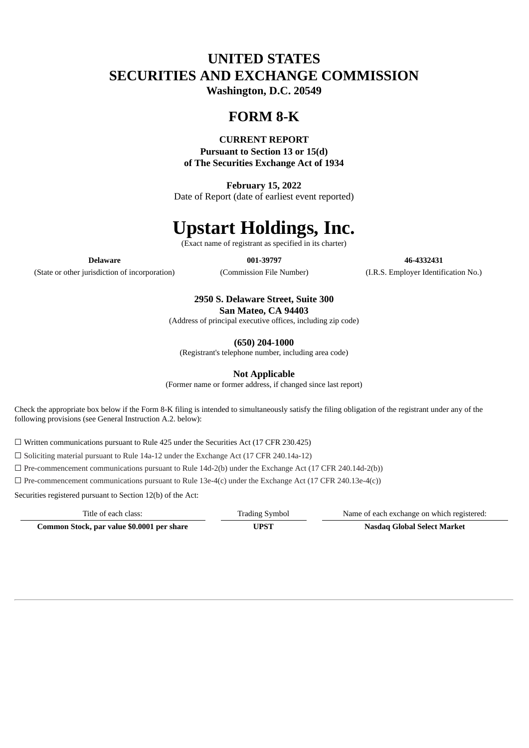# **UNITED STATES SECURITIES AND EXCHANGE COMMISSION**

**Washington, D.C. 20549**

# **FORM 8-K**

# **CURRENT REPORT**

**Pursuant to Section 13 or 15(d) of The Securities Exchange Act of 1934**

**February 15, 2022** Date of Report (date of earliest event reported)

# **Upstart Holdings, Inc.**

(Exact name of registrant as specified in its charter)

(State or other jurisdiction of incorporation) (Commission File Number) (I.R.S. Employer Identification No.)

**Delaware 001-39797 46-4332431**

# **2950 S. Delaware Street, Suite 300 San Mateo, CA 94403**

(Address of principal executive offices, including zip code)

**(650) 204-1000**

(Registrant's telephone number, including area code)

**Not Applicable**

(Former name or former address, if changed since last report)

Check the appropriate box below if the Form 8-K filing is intended to simultaneously satisfy the filing obligation of the registrant under any of the following provisions (see General Instruction A.2. below):

☐ Written communications pursuant to Rule 425 under the Securities Act (17 CFR 230.425)

☐ Soliciting material pursuant to Rule 14a-12 under the Exchange Act (17 CFR 240.14a-12)

☐ Pre-commencement communications pursuant to Rule 14d-2(b) under the Exchange Act (17 CFR 240.14d-2(b))

 $\Box$  Pre-commencement communications pursuant to Rule 13e-4(c) under the Exchange Act (17 CFR 240.13e-4(c))

Securities registered pursuant to Section 12(b) of the Act:

Title of each class: Trading Symbol Name of each exchange on which registered:

**Common Stock, par value \$0.0001 per share UPST Nasdaq Global Select Market**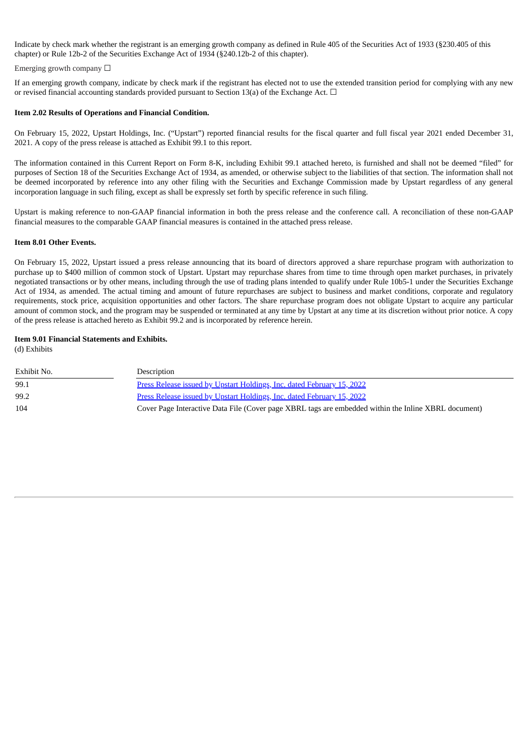Indicate by check mark whether the registrant is an emerging growth company as defined in Rule 405 of the Securities Act of 1933 (§230.405 of this chapter) or Rule 12b-2 of the Securities Exchange Act of 1934 (§240.12b-2 of this chapter).

#### Emerging growth company  $\Box$

If an emerging growth company, indicate by check mark if the registrant has elected not to use the extended transition period for complying with any new or revised financial accounting standards provided pursuant to Section 13(a) of the Exchange Act.  $\Box$ 

#### **Item 2.02 Results of Operations and Financial Condition.**

On February 15, 2022, Upstart Holdings, Inc. ("Upstart") reported financial results for the fiscal quarter and full fiscal year 2021 ended December 31, 2021. A copy of the press release is attached as Exhibit 99.1 to this report.

The information contained in this Current Report on Form 8-K, including Exhibit 99.1 attached hereto, is furnished and shall not be deemed "filed" for purposes of Section 18 of the Securities Exchange Act of 1934, as amended, or otherwise subject to the liabilities of that section. The information shall not be deemed incorporated by reference into any other filing with the Securities and Exchange Commission made by Upstart regardless of any general incorporation language in such filing, except as shall be expressly set forth by specific reference in such filing.

Upstart is making reference to non-GAAP financial information in both the press release and the conference call. A reconciliation of these non-GAAP financial measures to the comparable GAAP financial measures is contained in the attached press release.

### **Item 8.01 Other Events.**

On February 15, 2022, Upstart issued a press release announcing that its board of directors approved a share repurchase program with authorization to purchase up to \$400 million of common stock of Upstart. Upstart may repurchase shares from time to time through open market purchases, in privately negotiated transactions or by other means, including through the use of trading plans intended to qualify under Rule 10b5-1 under the Securities Exchange Act of 1934, as amended. The actual timing and amount of future repurchases are subject to business and market conditions, corporate and regulatory requirements, stock price, acquisition opportunities and other factors. The share repurchase program does not obligate Upstart to acquire any particular amount of common stock, and the program may be suspended or terminated at any time by Upstart at any time at its discretion without prior notice. A copy of the press release is attached hereto as Exhibit 99.2 and is incorporated by reference herein.

# **Item 9.01 Financial Statements and Exhibits.**

(d) Exhibits

| Exhibit No. | Description                                                                                          |
|-------------|------------------------------------------------------------------------------------------------------|
| 99.1        | <b>Press Release issued by Upstart Holdings, Inc. dated February 15, 2022</b>                        |
| 99.2        | <b>Press Release issued by Upstart Holdings, Inc. dated February 15, 2022</b>                        |
| 104         | Cover Page Interactive Data File (Cover page XBRL tags are embedded within the Inline XBRL document) |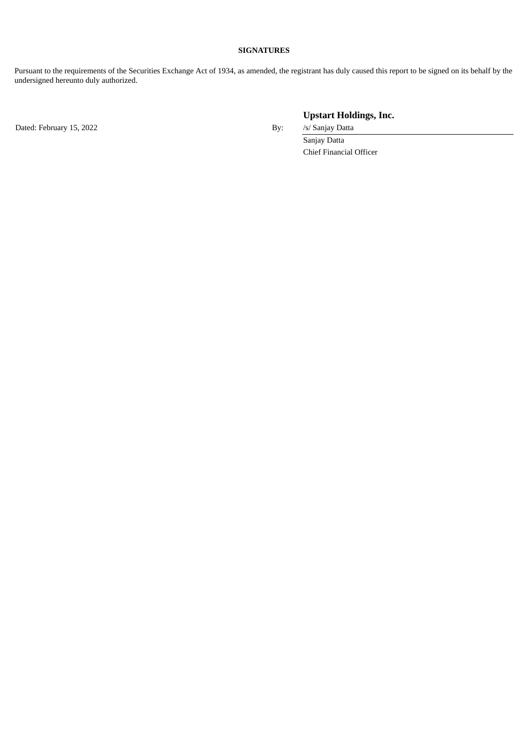# **SIGNATURES**

Pursuant to the requirements of the Securities Exchange Act of 1934, as amended, the registrant has duly caused this report to be signed on its behalf by the undersigned hereunto duly authorized.

Dated: February 15, 2022 **By:** /s/ Sanjay Datta

**Upstart Holdings, Inc.**

Sanjay Datta Chief Financial Officer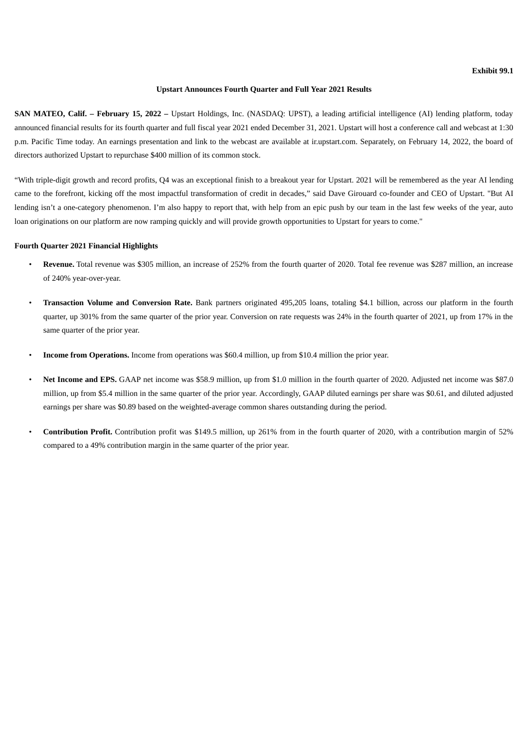#### **Upstart Announces Fourth Quarter and Full Year 2021 Results**

<span id="page-3-0"></span>**SAN MATEO, Calif. – February 15, 2022 –** Upstart Holdings, Inc. (NASDAQ: UPST), a leading artificial intelligence (AI) lending platform, today announced financial results for its fourth quarter and full fiscal year 2021 ended December 31, 2021. Upstart will host a conference call and webcast at 1:30 p.m. Pacific Time today. An earnings presentation and link to the webcast are available at ir.upstart.com. Separately, on February 14, 2022, the board of directors authorized Upstart to repurchase \$400 million of its common stock.

"With triple-digit growth and record profits, Q4 was an exceptional finish to a breakout year for Upstart. 2021 will be remembered as the year AI lending came to the forefront, kicking off the most impactful transformation of credit in decades," said Dave Girouard co-founder and CEO of Upstart. "But AI lending isn't a one-category phenomenon. I'm also happy to report that, with help from an epic push by our team in the last few weeks of the year, auto loan originations on our platform are now ramping quickly and will provide growth opportunities to Upstart for years to come."

#### **Fourth Quarter 2021 Financial Highlights**

- **Revenue.** Total revenue was \$305 million, an increase of 252% from the fourth quarter of 2020. Total fee revenue was \$287 million, an increase of 240% year-over-year.
- **Transaction Volume and Conversion Rate.** Bank partners originated 495,205 loans, totaling \$4.1 billion, across our platform in the fourth quarter, up 301% from the same quarter of the prior year. Conversion on rate requests was 24% in the fourth quarter of 2021, up from 17% in the same quarter of the prior year.
- **Income from Operations.** Income from operations was \$60.4 million, up from \$10.4 million the prior year.
- **Net Income and EPS.** GAAP net income was \$58.9 million, up from \$1.0 million in the fourth quarter of 2020. Adjusted net income was \$87.0 million, up from \$5.4 million in the same quarter of the prior year. Accordingly, GAAP diluted earnings per share was \$0.61, and diluted adjusted earnings per share was \$0.89 based on the weighted-average common shares outstanding during the period.
- **Contribution Profit.** Contribution profit was \$149.5 million, up 261% from in the fourth quarter of 2020, with a contribution margin of 52% compared to a 49% contribution margin in the same quarter of the prior year.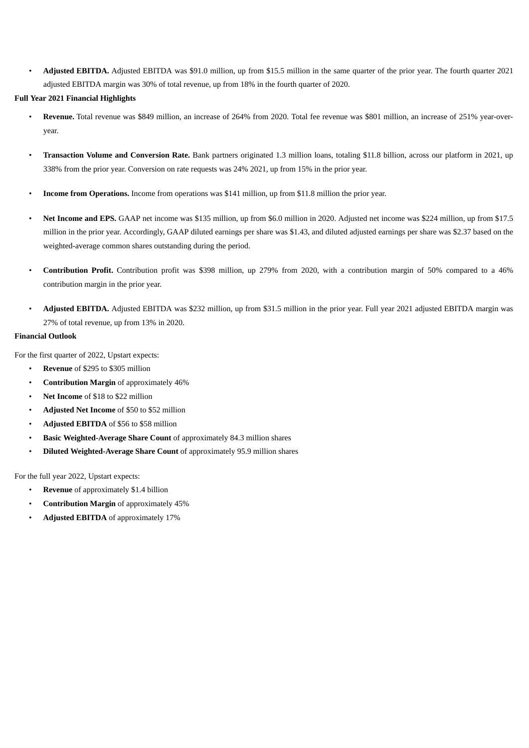• **Adjusted EBITDA.** Adjusted EBITDA was \$91.0 million, up from \$15.5 million in the same quarter of the prior year. The fourth quarter 2021 adjusted EBITDA margin was 30% of total revenue, up from 18% in the fourth quarter of 2020.

# **Full Year 2021 Financial Highlights**

- **Revenue.** Total revenue was \$849 million, an increase of 264% from 2020. Total fee revenue was \$801 million, an increase of 251% year-overyear.
- **Transaction Volume and Conversion Rate.** Bank partners originated 1.3 million loans, totaling \$11.8 billion, across our platform in 2021, up 338% from the prior year. Conversion on rate requests was 24% 2021, up from 15% in the prior year.
- **Income from Operations.** Income from operations was \$141 million, up from \$11.8 million the prior year.
- **Net Income and EPS.** GAAP net income was \$135 million, up from \$6.0 million in 2020. Adjusted net income was \$224 million, up from \$17.5 million in the prior year. Accordingly, GAAP diluted earnings per share was \$1.43, and diluted adjusted earnings per share was \$2.37 based on the weighted-average common shares outstanding during the period.
- **Contribution Profit.** Contribution profit was \$398 million, up 279% from 2020, with a contribution margin of 50% compared to a 46% contribution margin in the prior year.
- **Adjusted EBITDA.** Adjusted EBITDA was \$232 million, up from \$31.5 million in the prior year. Full year 2021 adjusted EBITDA margin was 27% of total revenue, up from 13% in 2020.

# **Financial Outlook**

For the first quarter of 2022, Upstart expects:

- **Revenue** of \$295 to \$305 million
- **Contribution Margin** of approximately 46%
- **Net Income** of \$18 to \$22 million
- **Adjusted Net Income** of \$50 to \$52 million
- **Adjusted EBITDA** of \$56 to \$58 million
- **Basic Weighted-Average Share Count** of approximately 84.3 million shares
- **Diluted Weighted-Average Share Count** of approximately 95.9 million shares

For the full year 2022, Upstart expects:

- **Revenue** of approximately \$1.4 billion
- **Contribution Margin** of approximately 45%
- **Adjusted EBITDA** of approximately 17%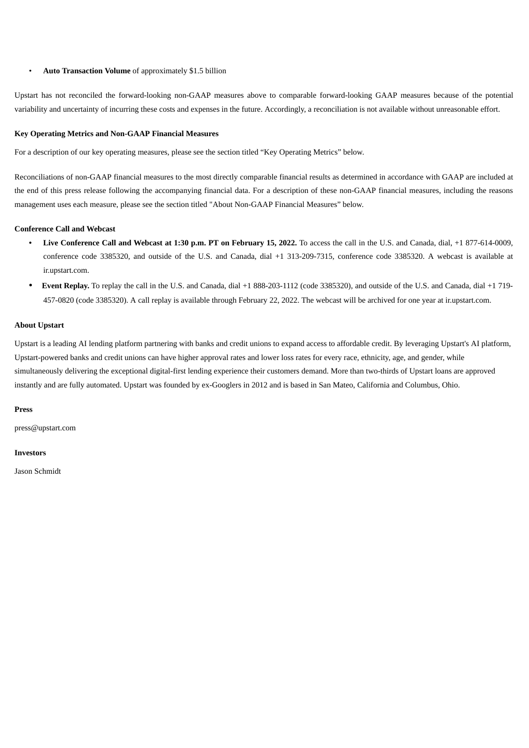#### • **Auto Transaction Volume** of approximately \$1.5 billion

Upstart has not reconciled the forward-looking non-GAAP measures above to comparable forward-looking GAAP measures because of the potential variability and uncertainty of incurring these costs and expenses in the future. Accordingly, a reconciliation is not available without unreasonable effort.

#### **Key Operating Metrics and Non-GAAP Financial Measures**

For a description of our key operating measures, please see the section titled "Key Operating Metrics" below.

Reconciliations of non-GAAP financial measures to the most directly comparable financial results as determined in accordance with GAAP are included at the end of this press release following the accompanying financial data. For a description of these non-GAAP financial measures, including the reasons management uses each measure, please see the section titled "About Non-GAAP Financial Measures" below.

#### **Conference Call and Webcast**

- Live Conference Call and Webcast at 1:30 p.m. PT on February 15, 2022. To access the call in the U.S. and Canada, dial, +1 877-614-0009, conference code 3385320, and outside of the U.S. and Canada, dial +1 313-209-7315, conference code 3385320. A webcast is available at ir.upstart.com.
- **Event Replay.** To replay the call in the U.S. and Canada, dial +1 888-203-1112 (code 3385320), and outside of the U.S. and Canada, dial +1 719- 457-0820 (code 3385320). A call replay is available through February 22, 2022. The webcast will be archived for one year at ir.upstart.com.

#### **About Upstart**

Upstart is a leading AI lending platform partnering with banks and credit unions to expand access to affordable credit. By leveraging Upstart's AI platform, Upstart-powered banks and credit unions can have higher approval rates and lower loss rates for every race, ethnicity, age, and gender, while simultaneously delivering the exceptional digital-first lending experience their customers demand. More than two-thirds of Upstart loans are approved instantly and are fully automated. Upstart was founded by ex-Googlers in 2012 and is based in San Mateo, California and Columbus, Ohio.

### **Press**

press@upstart.com

#### **Investors**

Jason Schmidt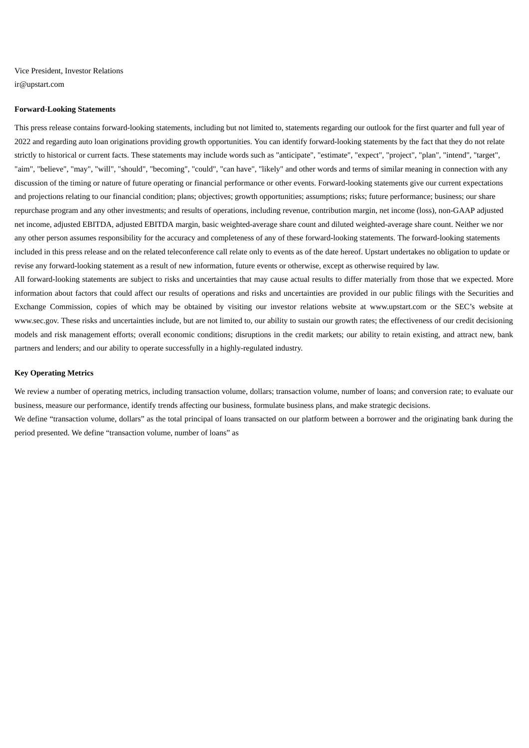Vice President, Investor Relations ir@upstart.com

#### **Forward-Looking Statements**

This press release contains forward-looking statements, including but not limited to, statements regarding our outlook for the first quarter and full year of 2022 and regarding auto loan originations providing growth opportunities. You can identify forward-looking statements by the fact that they do not relate strictly to historical or current facts. These statements may include words such as "anticipate", "estimate", "expect", "project", "plan", "intend", "target", "aim", "believe", "may", "will", "should", "becoming", "could", "can have", "likely" and other words and terms of similar meaning in connection with any discussion of the timing or nature of future operating or financial performance or other events. Forward-looking statements give our current expectations and projections relating to our financial condition; plans; objectives; growth opportunities; assumptions; risks; future performance; business; our share repurchase program and any other investments; and results of operations, including revenue, contribution margin, net income (loss), non-GAAP adjusted net income, adjusted EBITDA, adjusted EBITDA margin, basic weighted-average share count and diluted weighted-average share count. Neither we nor any other person assumes responsibility for the accuracy and completeness of any of these forward-looking statements. The forward-looking statements included in this press release and on the related teleconference call relate only to events as of the date hereof. Upstart undertakes no obligation to update or revise any forward-looking statement as a result of new information, future events or otherwise, except as otherwise required by law.

All forward-looking statements are subject to risks and uncertainties that may cause actual results to differ materially from those that we expected. More information about factors that could affect our results of operations and risks and uncertainties are provided in our public filings with the Securities and Exchange Commission, copies of which may be obtained by visiting our investor relations website at www.upstart.com or the SEC's website at www.sec.gov. These risks and uncertainties include, but are not limited to, our ability to sustain our growth rates; the effectiveness of our credit decisioning models and risk management efforts; overall economic conditions; disruptions in the credit markets; our ability to retain existing, and attract new, bank partners and lenders; and our ability to operate successfully in a highly-regulated industry.

# **Key Operating Metrics**

We review a number of operating metrics, including transaction volume, dollars; transaction volume, number of loans; and conversion rate; to evaluate our business, measure our performance, identify trends affecting our business, formulate business plans, and make strategic decisions.

We define "transaction volume, dollars" as the total principal of loans transacted on our platform between a borrower and the originating bank during the period presented. We define "transaction volume, number of loans" as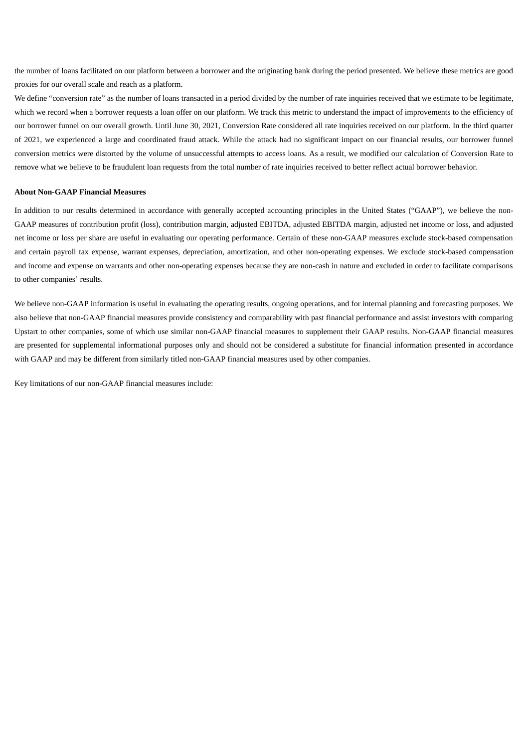the number of loans facilitated on our platform between a borrower and the originating bank during the period presented. We believe these metrics are good proxies for our overall scale and reach as a platform.

We define "conversion rate" as the number of loans transacted in a period divided by the number of rate inquiries received that we estimate to be legitimate, which we record when a borrower requests a loan offer on our platform. We track this metric to understand the impact of improvements to the efficiency of our borrower funnel on our overall growth. Until June 30, 2021, Conversion Rate considered all rate inquiries received on our platform. In the third quarter of 2021, we experienced a large and coordinated fraud attack. While the attack had no significant impact on our financial results, our borrower funnel conversion metrics were distorted by the volume of unsuccessful attempts to access loans. As a result, we modified our calculation of Conversion Rate to remove what we believe to be fraudulent loan requests from the total number of rate inquiries received to better reflect actual borrower behavior.

#### **About Non-GAAP Financial Measures**

In addition to our results determined in accordance with generally accepted accounting principles in the United States ("GAAP"), we believe the non-GAAP measures of contribution profit (loss), contribution margin, adjusted EBITDA, adjusted EBITDA margin, adjusted net income or loss, and adjusted net income or loss per share are useful in evaluating our operating performance. Certain of these non-GAAP measures exclude stock-based compensation and certain payroll tax expense, warrant expenses, depreciation, amortization, and other non-operating expenses. We exclude stock-based compensation and income and expense on warrants and other non-operating expenses because they are non-cash in nature and excluded in order to facilitate comparisons to other companies' results.

We believe non-GAAP information is useful in evaluating the operating results, ongoing operations, and for internal planning and forecasting purposes. We also believe that non-GAAP financial measures provide consistency and comparability with past financial performance and assist investors with comparing Upstart to other companies, some of which use similar non-GAAP financial measures to supplement their GAAP results. Non-GAAP financial measures are presented for supplemental informational purposes only and should not be considered a substitute for financial information presented in accordance with GAAP and may be different from similarly titled non-GAAP financial measures used by other companies.

Key limitations of our non-GAAP financial measures include: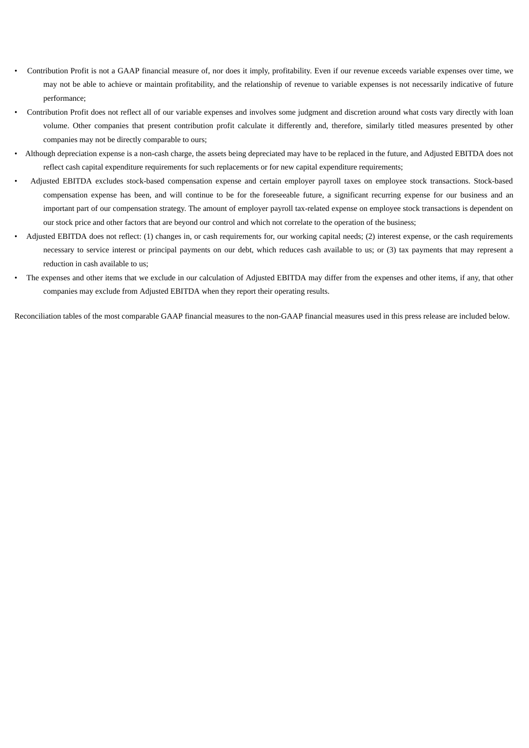- Contribution Profit is not a GAAP financial measure of, nor does it imply, profitability. Even if our revenue exceeds variable expenses over time, we may not be able to achieve or maintain profitability, and the relationship of revenue to variable expenses is not necessarily indicative of future performance;
- Contribution Profit does not reflect all of our variable expenses and involves some judgment and discretion around what costs vary directly with loan volume. Other companies that present contribution profit calculate it differently and, therefore, similarly titled measures presented by other companies may not be directly comparable to ours;
- Although depreciation expense is a non-cash charge, the assets being depreciated may have to be replaced in the future, and Adjusted EBITDA does not reflect cash capital expenditure requirements for such replacements or for new capital expenditure requirements;
- Adjusted EBITDA excludes stock-based compensation expense and certain employer payroll taxes on employee stock transactions. Stock-based compensation expense has been, and will continue to be for the foreseeable future, a significant recurring expense for our business and an important part of our compensation strategy. The amount of employer payroll tax-related expense on employee stock transactions is dependent on our stock price and other factors that are beyond our control and which not correlate to the operation of the business;
- Adjusted EBITDA does not reflect: (1) changes in, or cash requirements for, our working capital needs; (2) interest expense, or the cash requirements necessary to service interest or principal payments on our debt, which reduces cash available to us; or (3) tax payments that may represent a reduction in cash available to us;
- The expenses and other items that we exclude in our calculation of Adjusted EBITDA may differ from the expenses and other items, if any, that other companies may exclude from Adjusted EBITDA when they report their operating results.

Reconciliation tables of the most comparable GAAP financial measures to the non-GAAP financial measures used in this press release are included below.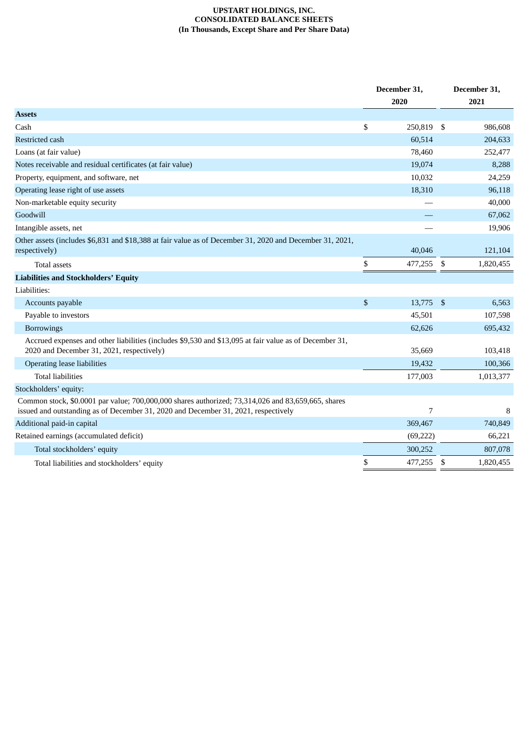#### **UPSTART HOLDINGS, INC. CONSOLIDATED BALANCE SHEETS (In Thousands, Except Share and Per Share Data)**

|                                                                                                                                                                                          | December 31, |           |    | December 31, |
|------------------------------------------------------------------------------------------------------------------------------------------------------------------------------------------|--------------|-----------|----|--------------|
|                                                                                                                                                                                          |              | 2020      |    | 2021         |
| <b>Assets</b>                                                                                                                                                                            |              |           |    |              |
| Cash                                                                                                                                                                                     | \$           | 250,819   | \$ | 986,608      |
| Restricted cash                                                                                                                                                                          |              | 60,514    |    | 204,633      |
| Loans (at fair value)                                                                                                                                                                    |              | 78,460    |    | 252,477      |
| Notes receivable and residual certificates (at fair value)                                                                                                                               |              | 19,074    |    | 8,288        |
| Property, equipment, and software, net                                                                                                                                                   |              | 10,032    |    | 24,259       |
| Operating lease right of use assets                                                                                                                                                      |              | 18,310    |    | 96,118       |
| Non-marketable equity security                                                                                                                                                           |              |           |    | 40,000       |
| Goodwill                                                                                                                                                                                 |              |           |    | 67,062       |
| Intangible assets, net                                                                                                                                                                   |              |           |    | 19,906       |
| Other assets (includes \$6,831 and \$18,388 at fair value as of December 31, 2020 and December 31, 2021,                                                                                 |              |           |    |              |
| respectively)                                                                                                                                                                            |              | 40,046    |    | 121,104      |
| <b>Total assets</b>                                                                                                                                                                      | \$           | 477,255   | \$ | 1,820,455    |
| <b>Liabilities and Stockholders' Equity</b>                                                                                                                                              |              |           |    |              |
| Liabilities:                                                                                                                                                                             |              |           |    |              |
| Accounts payable                                                                                                                                                                         | \$           | 13,775    | \$ | 6,563        |
| Payable to investors                                                                                                                                                                     |              | 45,501    |    | 107,598      |
| <b>Borrowings</b>                                                                                                                                                                        |              | 62,626    |    | 695,432      |
| Accrued expenses and other liabilities (includes \$9,530 and \$13,095 at fair value as of December 31,<br>2020 and December 31, 2021, respectively)                                      |              | 35,669    |    | 103,418      |
| Operating lease liabilities                                                                                                                                                              |              | 19,432    |    | 100,366      |
| <b>Total liabilities</b>                                                                                                                                                                 |              | 177,003   |    | 1,013,377    |
| Stockholders' equity:                                                                                                                                                                    |              |           |    |              |
| Common stock, \$0.0001 par value; 700,000,000 shares authorized; 73,314,026 and 83,659,665, shares<br>issued and outstanding as of December 31, 2020 and December 31, 2021, respectively |              | 7         |    | 8            |
| Additional paid-in capital                                                                                                                                                               |              | 369,467   |    | 740,849      |
| Retained earnings (accumulated deficit)                                                                                                                                                  |              | (69, 222) |    | 66,221       |
| Total stockholders' equity                                                                                                                                                               |              | 300,252   |    | 807,078      |
| Total liabilities and stockholders' equity                                                                                                                                               | \$           | 477,255   | \$ | 1,820,455    |
|                                                                                                                                                                                          |              |           |    |              |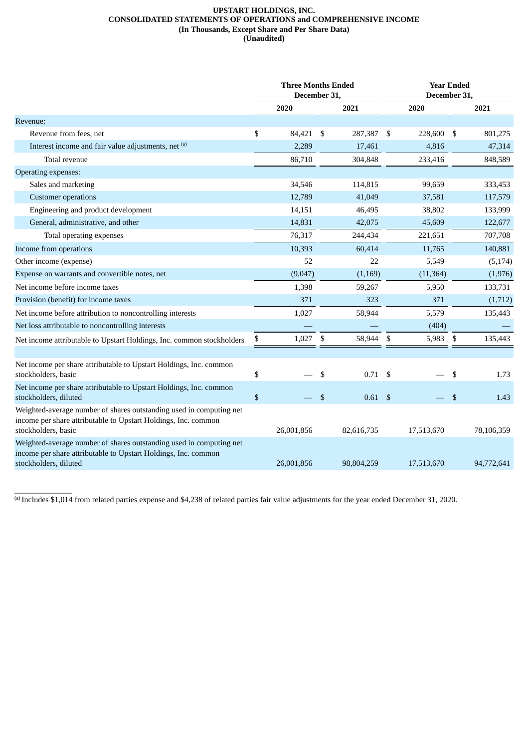#### **UPSTART HOLDINGS, INC. CONSOLIDATED STATEMENTS OF OPERATIONS and COMPREHENSIVE INCOME (In Thousands, Except Share and Per Share Data) (Unaudited)**

|                                                                                                                                                                | <b>Three Months Ended</b><br>December 31, |            |              |            |    | <b>Year Ended</b><br>December 31, |            |            |  |
|----------------------------------------------------------------------------------------------------------------------------------------------------------------|-------------------------------------------|------------|--------------|------------|----|-----------------------------------|------------|------------|--|
|                                                                                                                                                                |                                           | 2020       |              | 2021       |    | 2020                              |            | 2021       |  |
| Revenue:                                                                                                                                                       |                                           |            |              |            |    |                                   |            |            |  |
| Revenue from fees, net                                                                                                                                         | \$                                        | 84,421     | -\$          | 287,387    | \$ | 228,600                           | -\$        | 801,275    |  |
| Interest income and fair value adjustments, net (a)                                                                                                            |                                           | 2,289      |              | 17,461     |    | 4,816                             |            | 47,314     |  |
| Total revenue                                                                                                                                                  |                                           | 86,710     |              | 304,848    |    | 233,416                           |            | 848,589    |  |
| Operating expenses:                                                                                                                                            |                                           |            |              |            |    |                                   |            |            |  |
| Sales and marketing                                                                                                                                            |                                           | 34,546     |              | 114,815    |    | 99,659                            |            | 333,453    |  |
| <b>Customer operations</b>                                                                                                                                     |                                           | 12,789     |              | 41,049     |    | 37,581                            |            | 117,579    |  |
| Engineering and product development                                                                                                                            |                                           | 14,151     |              | 46,495     |    | 38,802                            |            | 133,999    |  |
| General, administrative, and other                                                                                                                             |                                           | 14,831     |              | 42,075     |    | 45,609                            |            | 122,677    |  |
| Total operating expenses                                                                                                                                       |                                           | 76,317     |              | 244,434    |    | 221,651                           |            | 707,708    |  |
| Income from operations                                                                                                                                         |                                           | 10,393     |              | 60,414     |    | 11,765                            |            | 140,881    |  |
| Other income (expense)                                                                                                                                         |                                           | 52         |              | 22         |    | 5,549                             |            | (5, 174)   |  |
| Expense on warrants and convertible notes, net                                                                                                                 |                                           | (9,047)    |              | (1, 169)   |    | (11, 364)                         |            | (1,976)    |  |
| Net income before income taxes                                                                                                                                 |                                           | 1,398      |              | 59,267     |    | 5,950                             |            | 133,731    |  |
| Provision (benefit) for income taxes                                                                                                                           |                                           | 371        |              | 323        |    | 371                               |            | (1,712)    |  |
| Net income before attribution to noncontrolling interests                                                                                                      |                                           | 1,027      |              | 58,944     |    | 5,579                             |            | 135,443    |  |
| Net loss attributable to noncontrolling interests                                                                                                              |                                           |            |              |            |    | (404)                             |            |            |  |
| Net income attributable to Upstart Holdings, Inc. common stockholders                                                                                          | \$                                        | 1,027      | $\mathbb{S}$ | 58,944     | \$ | 5,983 \$                          |            | 135,443    |  |
| Net income per share attributable to Upstart Holdings, Inc. common<br>stockholders, basic                                                                      | \$                                        |            | \$           | 0.71S      |    |                                   | \$         | 1.73       |  |
| Net income per share attributable to Upstart Holdings, Inc. common<br>stockholders, diluted                                                                    | $\mathbb{S}$                              |            | $\sqrt{3}$   | $0.61$ \$  |    |                                   | $\sqrt{3}$ | 1.43       |  |
| Weighted-average number of shares outstanding used in computing net<br>income per share attributable to Upstart Holdings, Inc. common<br>stockholders, basic   |                                           | 26,001,856 |              | 82,616,735 |    | 17,513,670                        |            | 78,106,359 |  |
| Weighted-average number of shares outstanding used in computing net<br>income per share attributable to Upstart Holdings, Inc. common<br>stockholders, diluted |                                           | 26,001,856 |              | 98,804,259 |    | 17,513,670                        |            | 94,772,641 |  |

\_\_\_\_\_\_\_\_\_\_\_\_ (a) Includes \$1,014 from related parties expense and \$4,238 of related parties fair value adjustments for the year ended December 31, 2020.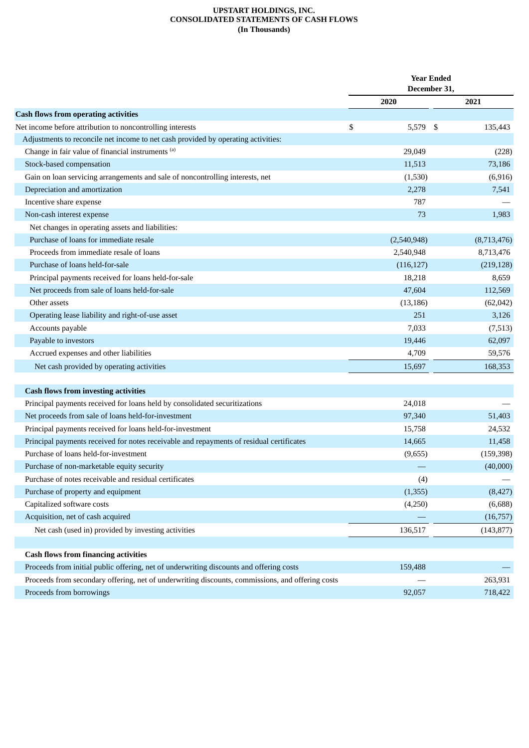# **UPSTART HOLDINGS, INC. CONSOLIDATED STATEMENTS OF CASH FLOWS (In Thousands)**

|                                                                                          | <b>Year Ended</b><br>December 31, |             |    |             |
|------------------------------------------------------------------------------------------|-----------------------------------|-------------|----|-------------|
|                                                                                          |                                   | 2020        |    | 2021        |
| <b>Cash flows from operating activities</b>                                              |                                   |             |    |             |
| Net income before attribution to noncontrolling interests                                | \$                                | 5,579       | \$ | 135,443     |
| Adjustments to reconcile net income to net cash provided by operating activities:        |                                   |             |    |             |
| Change in fair value of financial instruments (a)                                        |                                   | 29,049      |    | (228)       |
| Stock-based compensation                                                                 |                                   | 11,513      |    | 73,186      |
| Gain on loan servicing arrangements and sale of noncontrolling interests, net            |                                   | (1,530)     |    | (6, 916)    |
| Depreciation and amortization                                                            |                                   | 2,278       |    | 7,541       |
| Incentive share expense                                                                  |                                   | 787         |    |             |
| Non-cash interest expense                                                                |                                   | 73          |    | 1,983       |
| Net changes in operating assets and liabilities:                                         |                                   |             |    |             |
| Purchase of loans for immediate resale                                                   |                                   | (2,540,948) |    | (8,713,476) |
| Proceeds from immediate resale of loans                                                  |                                   | 2,540,948   |    | 8,713,476   |
| Purchase of loans held-for-sale                                                          |                                   | (116, 127)  |    | (219, 128)  |
| Principal payments received for loans held-for-sale                                      |                                   | 18,218      |    | 8,659       |
| Net proceeds from sale of loans held-for-sale                                            |                                   | 47,604      |    | 112,569     |
| Other assets                                                                             |                                   | (13, 186)   |    | (62, 042)   |
| Operating lease liability and right-of-use asset                                         |                                   | 251         |    | 3,126       |
| Accounts payable                                                                         |                                   | 7,033       |    | (7,513)     |
| Payable to investors                                                                     |                                   | 19,446      |    | 62,097      |
| Accrued expenses and other liabilities                                                   |                                   | 4,709       |    | 59,576      |
| Net cash provided by operating activities                                                |                                   | 15,697      |    | 168,353     |
|                                                                                          |                                   |             |    |             |
| <b>Cash flows from investing activities</b>                                              |                                   |             |    |             |
| Principal payments received for loans held by consolidated securitizations               |                                   | 24,018      |    |             |
| Net proceeds from sale of loans held-for-investment                                      |                                   | 97,340      |    | 51,403      |
| Principal payments received for loans held-for-investment                                |                                   | 15,758      |    | 24,532      |
| Principal payments received for notes receivable and repayments of residual certificates |                                   | 14,665      |    | 11,458      |
| Purchase of loans held-for-investment                                                    |                                   | (9,655)     |    | (159, 398)  |
| Purchase of non-marketable equity security                                               |                                   |             |    | (40,000)    |
| Purchase of notes receivable and residual certificates                                   |                                   | (4)         |    |             |

| Purchase of property and equipment                  | (1,355) | (8,427)    |
|-----------------------------------------------------|---------|------------|
| Capitalized software costs                          | (4,250) | (6,688)    |
| Acquisition, net of cash acquired                   |         | (16,757)   |
| Net cash (used in) provided by investing activities | 136.517 | (143, 877) |
|                                                     |         |            |

| <b>Cash flows from financing activities</b>                                                      |         |         |
|--------------------------------------------------------------------------------------------------|---------|---------|
| Proceeds from initial public offering, net of underwriting discounts and offering costs          | 159,488 |         |
| Proceeds from secondary offering, net of underwriting discounts, commissions, and offering costs |         | 263,931 |
| Proceeds from borrowings                                                                         | 92,057  | 718,422 |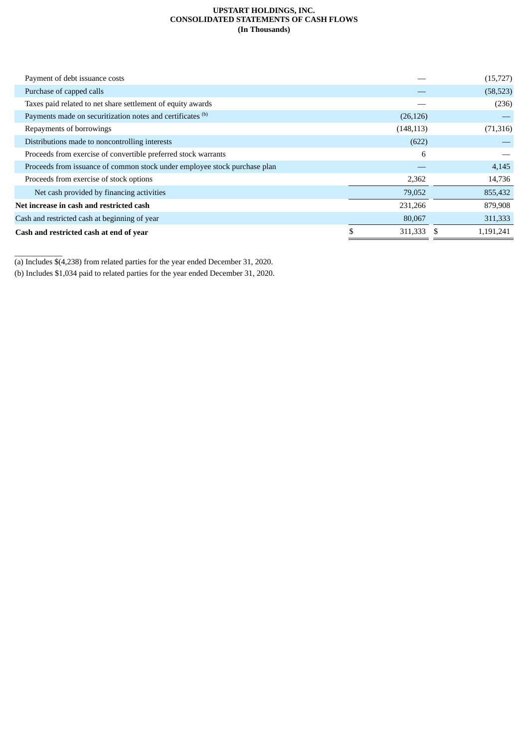#### **UPSTART HOLDINGS, INC. CONSOLIDATED STATEMENTS OF CASH FLOWS (In Thousands)**

| Payment of debt issuance costs                                            |            | (15, 727) |
|---------------------------------------------------------------------------|------------|-----------|
| Purchase of capped calls                                                  |            | (58, 523) |
| Taxes paid related to net share settlement of equity awards               |            | (236)     |
| Payments made on securitization notes and certificates (b)                | (26, 126)  |           |
| Repayments of borrowings                                                  | (148, 113) | (71, 316) |
| Distributions made to noncontrolling interests                            | (622)      |           |
| Proceeds from exercise of convertible preferred stock warrants            | 6          |           |
| Proceeds from issuance of common stock under employee stock purchase plan |            | 4,145     |
| Proceeds from exercise of stock options                                   | 2,362      | 14,736    |
| Net cash provided by financing activities                                 | 79,052     | 855,432   |
| Net increase in cash and restricted cash                                  | 231,266    | 879,908   |
| Cash and restricted cash at beginning of year                             | 80,067     | 311,333   |
| Cash and restricted cash at end of year                                   | 311,333    | 1,191,241 |

(a) Includes \$(4,238) from related parties for the year ended December 31, 2020.

*\_\_\_\_\_\_\_\_\_\_\_\_*

(b) Includes \$1,034 paid to related parties for the year ended December 31, 2020.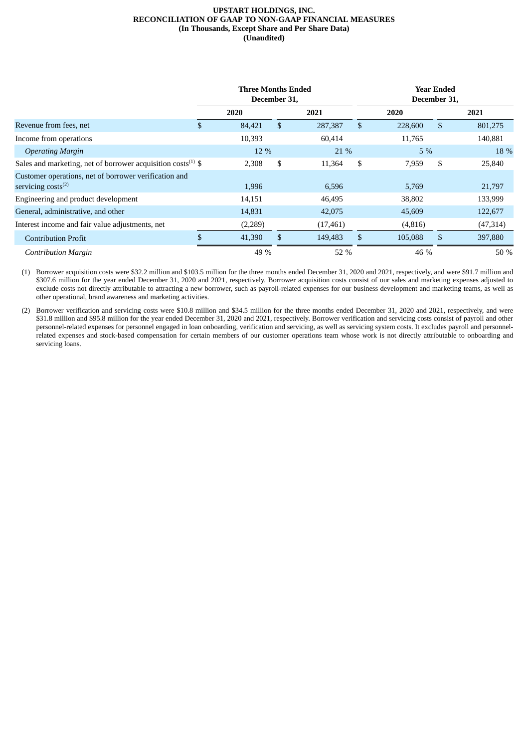#### **UPSTART HOLDINGS, INC. RECONCILIATION OF GAAP TO NON-GAAP FINANCIAL MEASURES (In Thousands, Except Share and Per Share Data) (Unaudited)**

|                                                                                | <b>Three Months Ended</b><br>December 31, |         |    |           |              |         | <b>Year Ended</b><br>December 31, |          |  |
|--------------------------------------------------------------------------------|-------------------------------------------|---------|----|-----------|--------------|---------|-----------------------------------|----------|--|
|                                                                                |                                           | 2020    |    | 2021      |              | 2020    |                                   | 2021     |  |
| Revenue from fees, net                                                         | \$                                        | 84,421  | \$ | 287,387   | $\mathbb{S}$ | 228,600 | $\mathfrak{S}$                    | 801,275  |  |
| Income from operations                                                         |                                           | 10,393  |    | 60,414    |              | 11,765  |                                   | 140,881  |  |
| <b>Operating Margin</b>                                                        |                                           | 12 %    |    | 21 %      |              | 5%      |                                   | 18 %     |  |
| Sales and marketing, net of borrower acquisition costs <sup>(1)</sup> \$       |                                           | 2,308   | \$ | 11,364    | \$           | 7,959   | \$                                | 25,840   |  |
| Customer operations, net of borrower verification and<br>servicing costs $(2)$ |                                           | 1,996   |    | 6,596     |              | 5,769   |                                   | 21,797   |  |
| Engineering and product development                                            |                                           | 14,151  |    | 46,495    |              | 38,802  |                                   | 133,999  |  |
| General, administrative, and other                                             |                                           | 14,831  |    | 42,075    |              | 45,609  |                                   | 122,677  |  |
| Interest income and fair value adjustments, net                                |                                           | (2,289) |    | (17, 461) |              | (4,816) |                                   | (47,314) |  |
| <b>Contribution Profit</b>                                                     |                                           | 41,390  | \$ | 149,483   | \$           | 105,088 | \$                                | 397,880  |  |
| <b>Contribution Margin</b>                                                     |                                           | 49 %    |    | 52 %      |              | 46 %    |                                   | 50 %     |  |

(1) Borrower acquisition costs were \$32.2 million and \$103.5 million for the three months ended December 31, 2020 and 2021, respectively, and were \$91.7 million and \$307.6 million for the year ended December 31, 2020 and 2021, respectively. Borrower acquisition costs consist of our sales and marketing expenses adjusted to exclude costs not directly attributable to attracting a new borrower, such as payroll-related expenses for our business development and marketing teams, as well as other operational, brand awareness and marketing activities.

(2) Borrower verification and servicing costs were \$10.8 million and \$34.5 million for the three months ended December 31, 2020 and 2021, respectively, and were \$31.8 million and \$95.8 million for the year ended December 31, 2020 and 2021, respectively. Borrower verification and servicing costs consist of payroll and other personnel-related expenses for personnel engaged in loan onboarding, verification and servicing, as well as servicing system costs. It excludes payroll and personnelrelated expenses and stock-based compensation for certain members of our customer operations team whose work is not directly attributable to onboarding and servicing loans.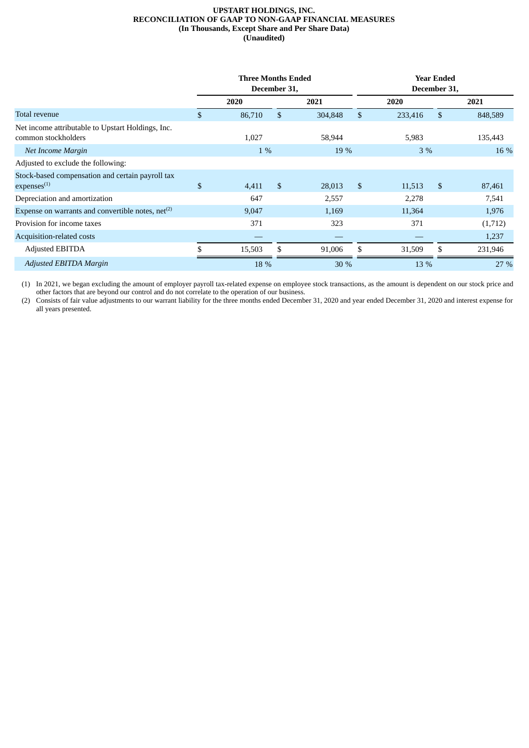#### **UPSTART HOLDINGS, INC. RECONCILIATION OF GAAP TO NON-GAAP FINANCIAL MEASURES (In Thousands, Except Share and Per Share Data) (Unaudited)**

|                                                                             | <b>Three Months Ended</b><br>December 31, |        |              |         |              |         | <b>Year Ended</b><br>December 31, |         |  |
|-----------------------------------------------------------------------------|-------------------------------------------|--------|--------------|---------|--------------|---------|-----------------------------------|---------|--|
|                                                                             | 2020                                      |        |              | 2021    |              | 2020    |                                   | 2021    |  |
| Total revenue                                                               | \$                                        | 86,710 | $\mathbb{S}$ | 304,848 | $\mathbb{S}$ | 233,416 | $\mathfrak{S}$                    | 848,589 |  |
| Net income attributable to Upstart Holdings, Inc.<br>common stockholders    |                                           | 1,027  |              | 58,944  |              | 5,983   |                                   | 135,443 |  |
| <b>Net Income Margin</b>                                                    |                                           | 1 %    |              | 19 %    |              | 3%      |                                   | 16 %    |  |
| Adjusted to exclude the following:                                          |                                           |        |              |         |              |         |                                   |         |  |
| Stock-based compensation and certain payroll tax<br>expenses <sup>(1)</sup> | \$                                        | 4,411  | \$           | 28,013  | \$           | 11,513  | \$                                | 87,461  |  |
| Depreciation and amortization                                               |                                           | 647    |              | 2,557   |              | 2,278   |                                   | 7,541   |  |
| Expense on warrants and convertible notes, $net^{(2)}$                      |                                           | 9,047  |              | 1,169   |              | 11,364  |                                   | 1,976   |  |
| Provision for income taxes                                                  |                                           | 371    |              | 323     |              | 371     |                                   | (1,712) |  |
| Acquisition-related costs                                                   |                                           |        |              |         |              |         |                                   | 1,237   |  |
| <b>Adjusted EBITDA</b>                                                      |                                           | 15,503 | \$           | 91,006  | \$           | 31,509  | \$                                | 231,946 |  |
| <b>Adjusted EBITDA Margin</b>                                               |                                           | 18 %   |              | 30 %    |              | 13 %    |                                   | 27 %    |  |

(1) In 2021, we began excluding the amount of employer payroll tax-related expense on employee stock transactions, as the amount is dependent on our stock price and other factors that are beyond our control and do not correlate to the operation of our business.

(2) Consists of fair value adjustments to our warrant liability for the three months ended December 31, 2020 and year ended December 31, 2020 and interest expense for all years presented.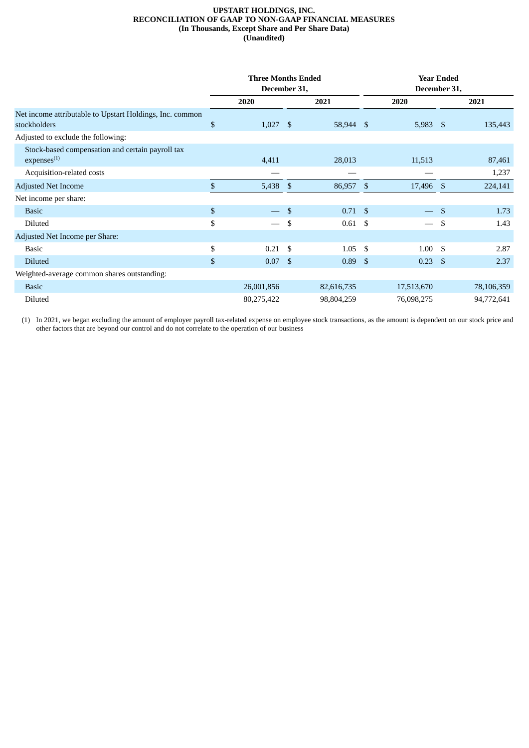#### **UPSTART HOLDINGS, INC. RECONCILIATION OF GAAP TO NON-GAAP FINANCIAL MEASURES (In Thousands, Except Share and Per Share Data) (Unaudited)**

|                                                                             | <b>Three Months Ended</b><br>December 31, |            |                |                |      | <b>Year Ended</b><br>December 31, |    |            |  |
|-----------------------------------------------------------------------------|-------------------------------------------|------------|----------------|----------------|------|-----------------------------------|----|------------|--|
|                                                                             |                                           | 2020       |                | 2021           |      | 2020                              |    | 2021       |  |
| Net income attributable to Upstart Holdings, Inc. common<br>stockholders    | \$                                        | $1,027$ \$ |                | 58,944 \$      |      | $5,983$ \$                        |    | 135,443    |  |
| Adjusted to exclude the following:                                          |                                           |            |                |                |      |                                   |    |            |  |
| Stock-based compensation and certain payroll tax<br>expenses <sup>(1)</sup> |                                           | 4,411      |                | 28,013         |      | 11,513                            |    | 87,461     |  |
| Acquisition-related costs                                                   |                                           |            |                |                |      |                                   |    | 1,237      |  |
| <b>Adjusted Net Income</b>                                                  | \$                                        | 5,438      | \$             | 86,957 \$      |      | 17,496 \$                         |    | 224,141    |  |
| Net income per share:                                                       |                                           |            |                |                |      |                                   |    |            |  |
| <b>Basic</b>                                                                | \$                                        |            | $\mathfrak{S}$ | $0.71 \quad $$ |      |                                   | \$ | 1.73       |  |
| <b>Diluted</b>                                                              | \$                                        |            | \$             | 0.61           | - \$ |                                   | \$ | 1.43       |  |
| Adjusted Net Income per Share:                                              |                                           |            |                |                |      |                                   |    |            |  |
| <b>Basic</b>                                                                | \$                                        | 0.21       | - \$           | 1.05           | -\$  | $1.00\quad$ \$                    |    | 2.87       |  |
| <b>Diluted</b>                                                              | \$                                        | 0.07       | -\$            | 0.89           | -\$  | $0.23$ \$                         |    | 2.37       |  |
| Weighted-average common shares outstanding:                                 |                                           |            |                |                |      |                                   |    |            |  |
| <b>Basic</b>                                                                |                                           | 26,001,856 |                | 82,616,735     |      | 17,513,670                        |    | 78,106,359 |  |
| Diluted                                                                     |                                           | 80,275,422 |                | 98,804,259     |      | 76,098,275                        |    | 94,772,641 |  |

(1) In 2021, we began excluding the amount of employer payroll tax-related expense on employee stock transactions, as the amount is dependent on our stock price and other factors that are beyond our control and do not correlate to the operation of our business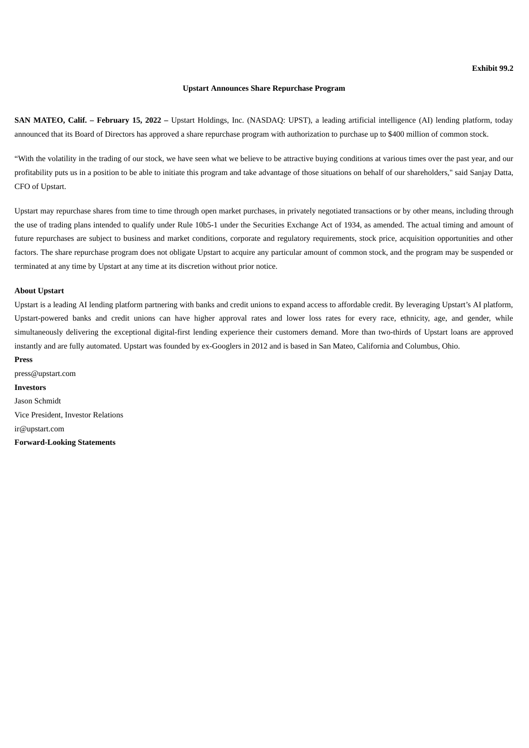#### **Upstart Announces Share Repurchase Program**

<span id="page-16-0"></span>**SAN MATEO, Calif. – February 15, 2022 –** Upstart Holdings, Inc. (NASDAQ: UPST), a leading artificial intelligence (AI) lending platform, today announced that its Board of Directors has approved a share repurchase program with authorization to purchase up to \$400 million of common stock.

"With the volatility in the trading of our stock, we have seen what we believe to be attractive buying conditions at various times over the past year, and our profitability puts us in a position to be able to initiate this program and take advantage of those situations on behalf of our shareholders," said Sanjay Datta, CFO of Upstart.

Upstart may repurchase shares from time to time through open market purchases, in privately negotiated transactions or by other means, including through the use of trading plans intended to qualify under Rule 10b5-1 under the Securities Exchange Act of 1934, as amended. The actual timing and amount of future repurchases are subject to business and market conditions, corporate and regulatory requirements, stock price, acquisition opportunities and other factors. The share repurchase program does not obligate Upstart to acquire any particular amount of common stock, and the program may be suspended or terminated at any time by Upstart at any time at its discretion without prior notice.

#### **About Upstart**

Upstart is a leading AI lending platform partnering with banks and credit unions to expand access to affordable credit. By leveraging Upstart's AI platform, Upstart-powered banks and credit unions can have higher approval rates and lower loss rates for every race, ethnicity, age, and gender, while simultaneously delivering the exceptional digital-first lending experience their customers demand. More than two-thirds of Upstart loans are approved instantly and are fully automated. Upstart was founded by ex-Googlers in 2012 and is based in San Mateo, California and Columbus, Ohio.

# **Press**

press@upstart.com **Investors** Jason Schmidt Vice President, Investor Relations ir@upstart.com **Forward-Looking Statements**